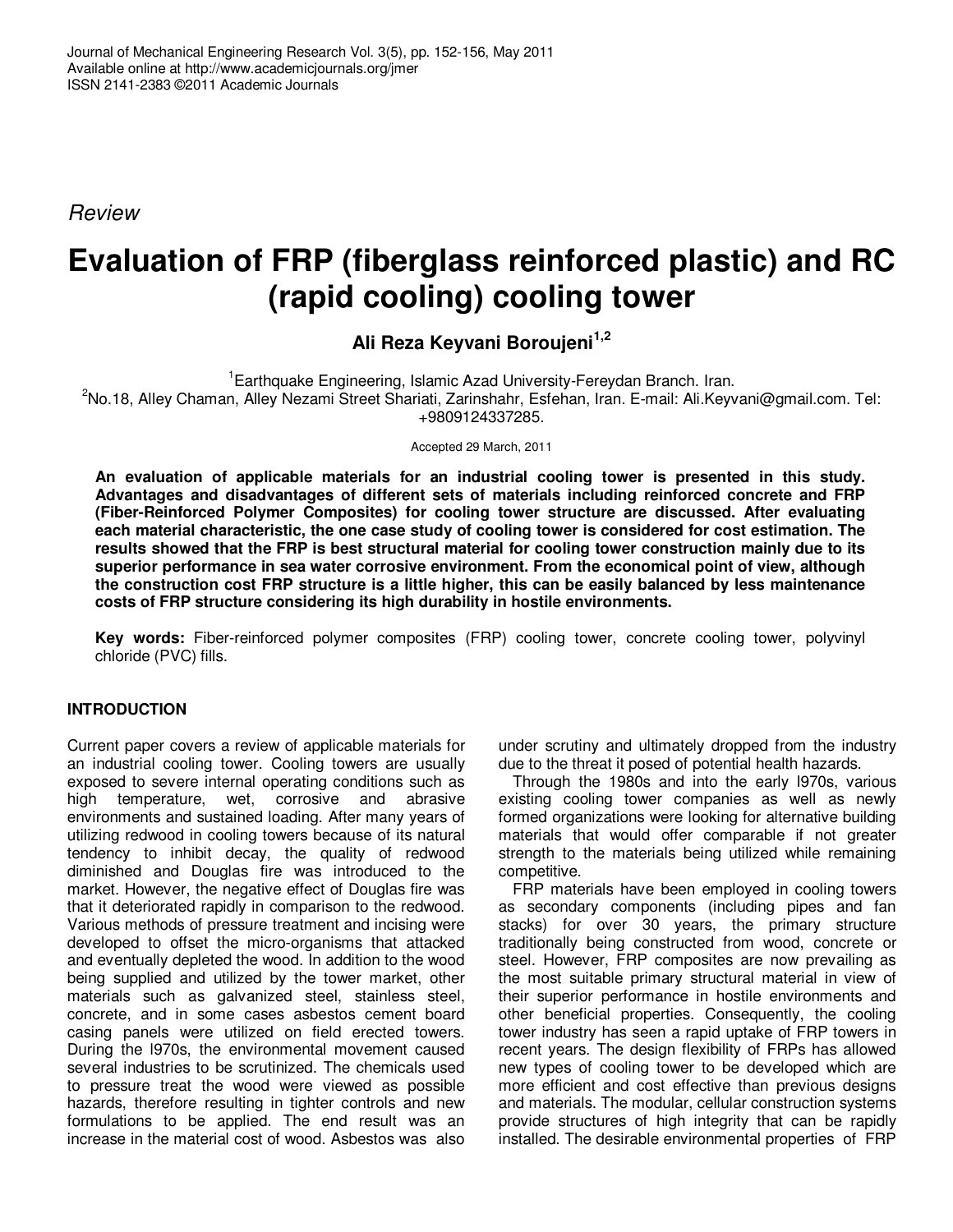Review

# **Evaluation of FRP (fiberglass reinforced plastic) and RC (rapid cooling) cooling tower**

**Ali Reza Keyvani Boroujeni1,2** 

<sup>1</sup>Earthquake Engineering, Islamic Azad University-Fereydan Branch. Iran. <sup>2</sup>No.18, Alley Chaman, Alley Nezami Street Shariati, Zarinshahr, Esfehan, Iran. E-mail: Ali.Keyvani@gmail.com. Tel: +9809124337285.

Accepted 29 March, 2011

**An evaluation of applicable materials for an industrial cooling tower is presented in this study. Advantages and disadvantages of different sets of materials including reinforced concrete and FRP (Fiber-Reinforced Polymer Composites) for cooling tower structure are discussed. After evaluating each material characteristic, the one case study of cooling tower is considered for cost estimation. The results showed that the FRP is best structural material for cooling tower construction mainly due to its superior performance in sea water corrosive environment. From the economical point of view, although the construction cost FRP structure is a little higher, this can be easily balanced by less maintenance costs of FRP structure considering its high durability in hostile environments.** 

**Key words:** Fiber-reinforced polymer composites (FRP) cooling tower, concrete cooling tower, polyvinyl chloride (PVC) fills.

## **INTRODUCTION**

Current paper covers a review of applicable materials for an industrial cooling tower. Cooling towers are usually exposed to severe internal operating conditions such as high temperature, wet, corrosive and abrasive environments and sustained loading. After many years of utilizing redwood in cooling towers because of its natural tendency to inhibit decay, the quality of redwood diminished and Douglas fire was introduced to the market. However, the negative effect of Douglas fire was that it deteriorated rapidly in comparison to the redwood. Various methods of pressure treatment and incising were developed to offset the micro-organisms that attacked and eventually depleted the wood. In addition to the wood being supplied and utilized by the tower market, other materials such as galvanized steel, stainless steel, concrete, and in some cases asbestos cement board casing panels were utilized on field erected towers. During the l970s, the environmental movement caused several industries to be scrutinized. The chemicals used to pressure treat the wood were viewed as possible hazards, therefore resulting in tighter controls and new formulations to be applied. The end result was an increase in the material cost of wood. Asbestos was also

under scrutiny and ultimately dropped from the industry due to the threat it posed of potential health hazards.

Through the 1980s and into the early l970s, various existing cooling tower companies as well as newly formed organizations were looking for alternative building materials that would offer comparable if not greater strength to the materials being utilized while remaining competitive.

FRP materials have been employed in cooling towers as secondary components (including pipes and fan stacks) for over 30 years, the primary structure traditionally being constructed from wood, concrete or steel. However, FRP composites are now prevailing as the most suitable primary structural material in view of their superior performance in hostile environments and other beneficial properties. Consequently, the cooling tower industry has seen a rapid uptake of FRP towers in recent years. The design flexibility of FRPs has allowed new types of cooling tower to be developed which are more efficient and cost effective than previous designs and materials. The modular, cellular construction systems provide structures of high integrity that can be rapidly installed. The desirable environmental properties of FRP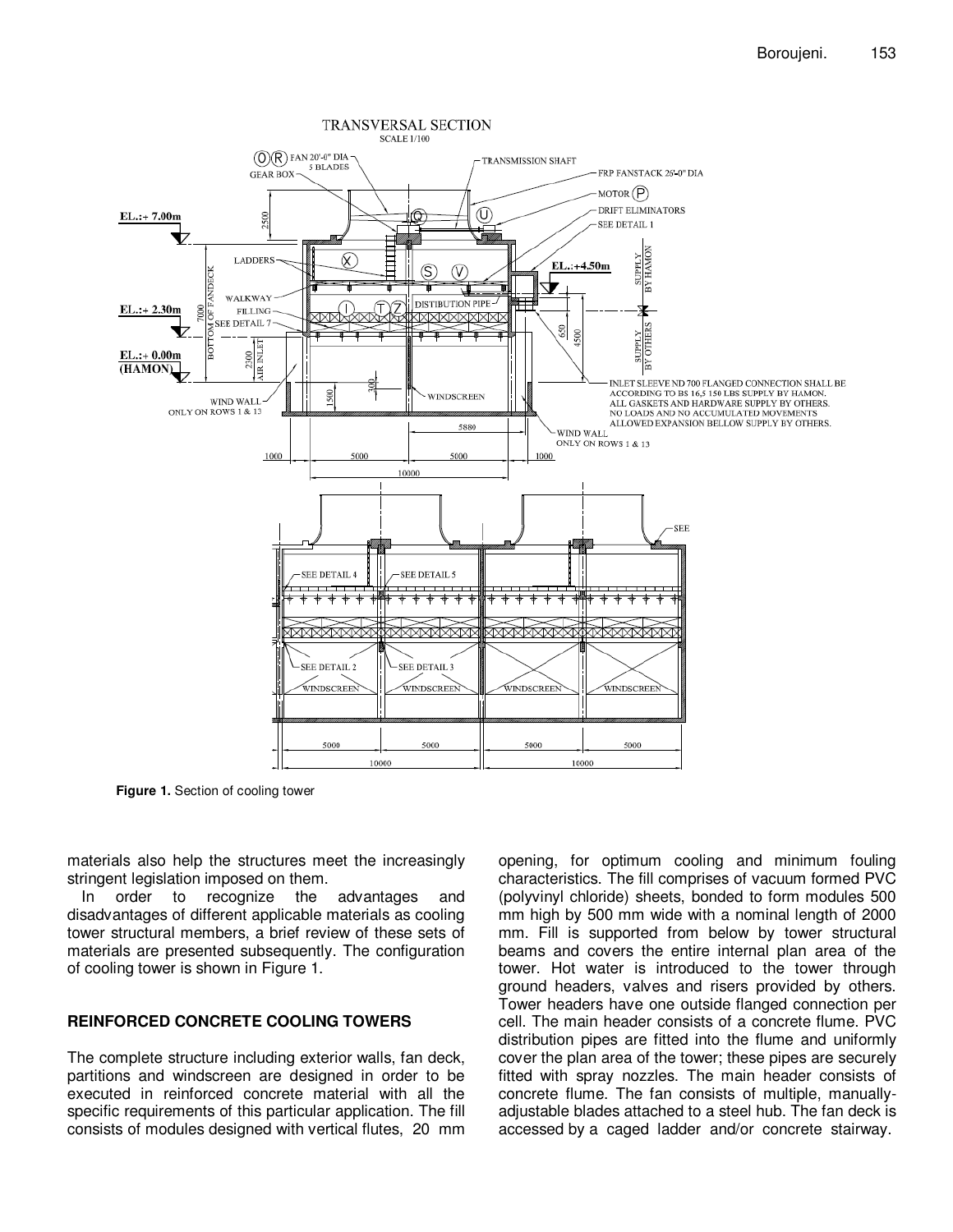

**Figure 1.** Section of cooling tower

materials also help the structures meet the increasingly stringent legislation imposed on them.<br>In order to recognize the

advantages and disadvantages of different applicable materials as cooling tower structural members, a brief review of these sets of materials are presented subsequently. The configuration of cooling tower is shown in Figure 1.

## **REINFORCED CONCRETE COOLING TOWERS**

The complete structure including exterior walls, fan deck, partitions and windscreen are designed in order to be executed in reinforced concrete material with all the specific requirements of this particular application. The fill consists of modules designed with vertical flutes, 20 mm

opening, for optimum cooling and minimum fouling characteristics. The fill comprises of vacuum formed PVC (polyvinyl chloride) sheets, bonded to form modules 500 mm high by 500 mm wide with a nominal length of 2000 mm. Fill is supported from below by tower structural beams and covers the entire internal plan area of the tower. Hot water is introduced to the tower through ground headers, valves and risers provided by others. Tower headers have one outside flanged connection per cell. The main header consists of a concrete flume. PVC distribution pipes are fitted into the flume and uniformly cover the plan area of the tower; these pipes are securely fitted with spray nozzles. The main header consists of concrete flume. The fan consists of multiple, manuallyadjustable blades attached to a steel hub. The fan deck is accessed by a caged ladder and/or concrete stairway.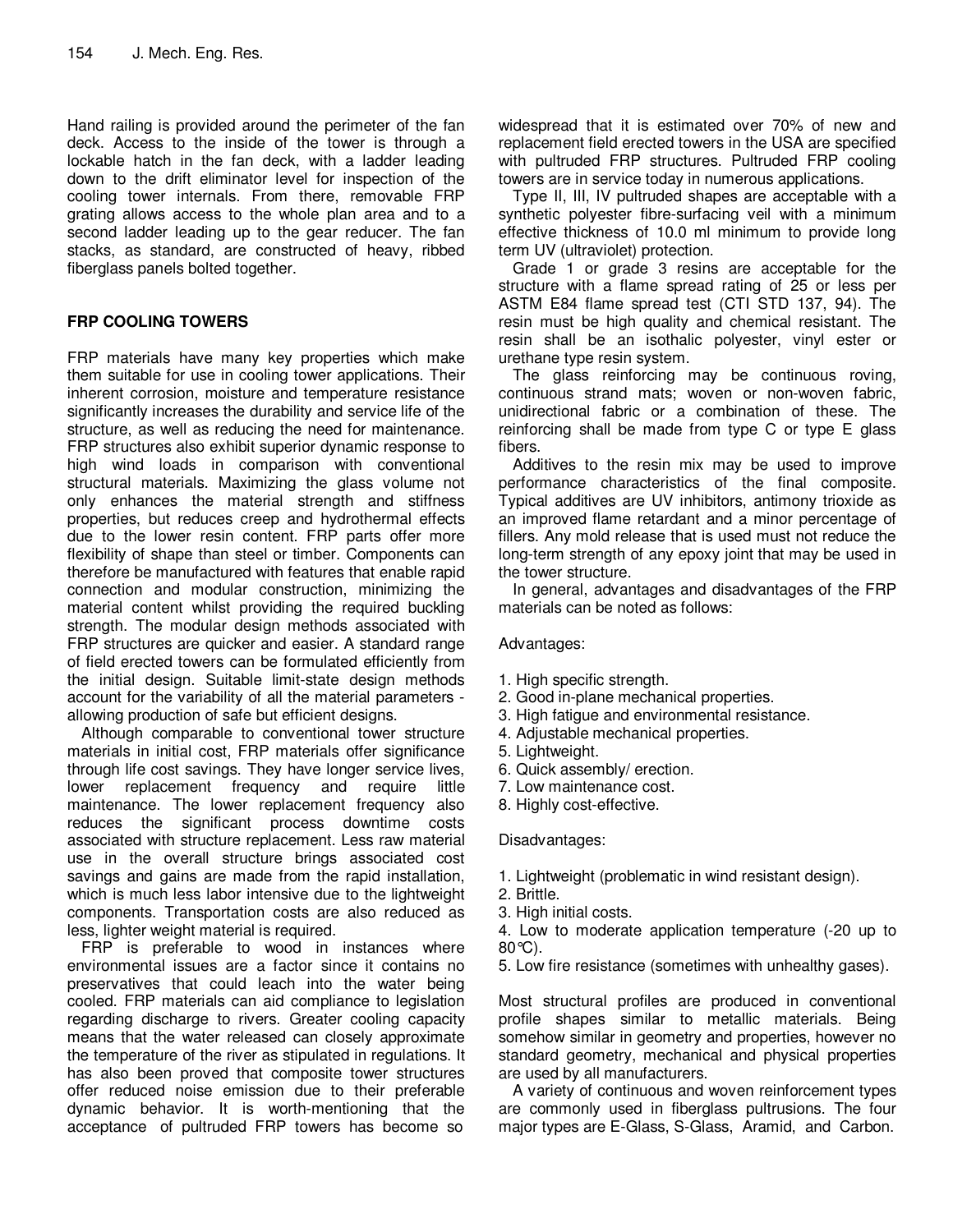Hand railing is provided around the perimeter of the fan deck. Access to the inside of the tower is through a lockable hatch in the fan deck, with a ladder leading down to the drift eliminator level for inspection of the cooling tower internals. From there, removable FRP grating allows access to the whole plan area and to a second ladder leading up to the gear reducer. The fan stacks, as standard, are constructed of heavy, ribbed fiberglass panels bolted together.

## **FRP COOLING TOWERS**

FRP materials have many key properties which make them suitable for use in cooling tower applications. Their inherent corrosion, moisture and temperature resistance significantly increases the durability and service life of the structure, as well as reducing the need for maintenance. FRP structures also exhibit superior dynamic response to high wind loads in comparison with conventional structural materials. Maximizing the glass volume not only enhances the material strength and stiffness properties, but reduces creep and hydrothermal effects due to the lower resin content. FRP parts offer more flexibility of shape than steel or timber. Components can therefore be manufactured with features that enable rapid connection and modular construction, minimizing the material content whilst providing the required buckling strength. The modular design methods associated with FRP structures are quicker and easier. A standard range of field erected towers can be formulated efficiently from the initial design. Suitable limit-state design methods account for the variability of all the material parameters allowing production of safe but efficient designs.

Although comparable to conventional tower structure materials in initial cost, FRP materials offer significance through life cost savings. They have longer service lives, lower replacement frequency and require little maintenance. The lower replacement frequency also reduces the significant process downtime costs associated with structure replacement. Less raw material use in the overall structure brings associated cost savings and gains are made from the rapid installation, which is much less labor intensive due to the lightweight components. Transportation costs are also reduced as less, lighter weight material is required.

FRP is preferable to wood in instances where environmental issues are a factor since it contains no preservatives that could leach into the water being cooled. FRP materials can aid compliance to legislation regarding discharge to rivers. Greater cooling capacity means that the water released can closely approximate the temperature of the river as stipulated in regulations. It has also been proved that composite tower structures offer reduced noise emission due to their preferable dynamic behavior. It is worth-mentioning that the acceptance of pultruded FRP towers has become so

widespread that it is estimated over 70% of new and replacement field erected towers in the USA are specified with pultruded FRP structures. Pultruded FRP cooling towers are in service today in numerous applications.

Type II, III, IV pultruded shapes are acceptable with a synthetic polyester fibre-surfacing veil with a minimum effective thickness of 10.0 ml minimum to provide long term UV (ultraviolet) protection.

Grade 1 or grade 3 resins are acceptable for the structure with a flame spread rating of 25 or less per ASTM E84 flame spread test (CTI STD 137, 94). The resin must be high quality and chemical resistant. The resin shall be an isothalic polyester, vinyl ester or urethane type resin system.

The glass reinforcing may be continuous roving, continuous strand mats; woven or non-woven fabric, unidirectional fabric or a combination of these. The reinforcing shall be made from type C or type E glass fibers.

Additives to the resin mix may be used to improve performance characteristics of the final composite. Typical additives are UV inhibitors, antimony trioxide as an improved flame retardant and a minor percentage of fillers. Any mold release that is used must not reduce the long-term strength of any epoxy joint that may be used in the tower structure.

In general, advantages and disadvantages of the FRP materials can be noted as follows:

Advantages:

- 1. High specific strength.
- 2. Good in-plane mechanical properties.
- 3. High fatigue and environmental resistance.
- 4. Adjustable mechanical properties.
- 5. Lightweight.
- 6. Quick assembly/ erection.
- 7. Low maintenance cost.
- 8. Highly cost-effective.

#### Disadvantages:

- 1. Lightweight (problematic in wind resistant design).
- 2. Brittle.
- 3. High initial costs.

4. Low to moderate application temperature (-20 up to 80°C).

5. Low fire resistance (sometimes with unhealthy gases).

Most structural profiles are produced in conventional profile shapes similar to metallic materials. Being somehow similar in geometry and properties, however no standard geometry, mechanical and physical properties are used by all manufacturers.

A variety of continuous and woven reinforcement types are commonly used in fiberglass pultrusions. The four major types are E-Glass, S-Glass, Aramid, and Carbon.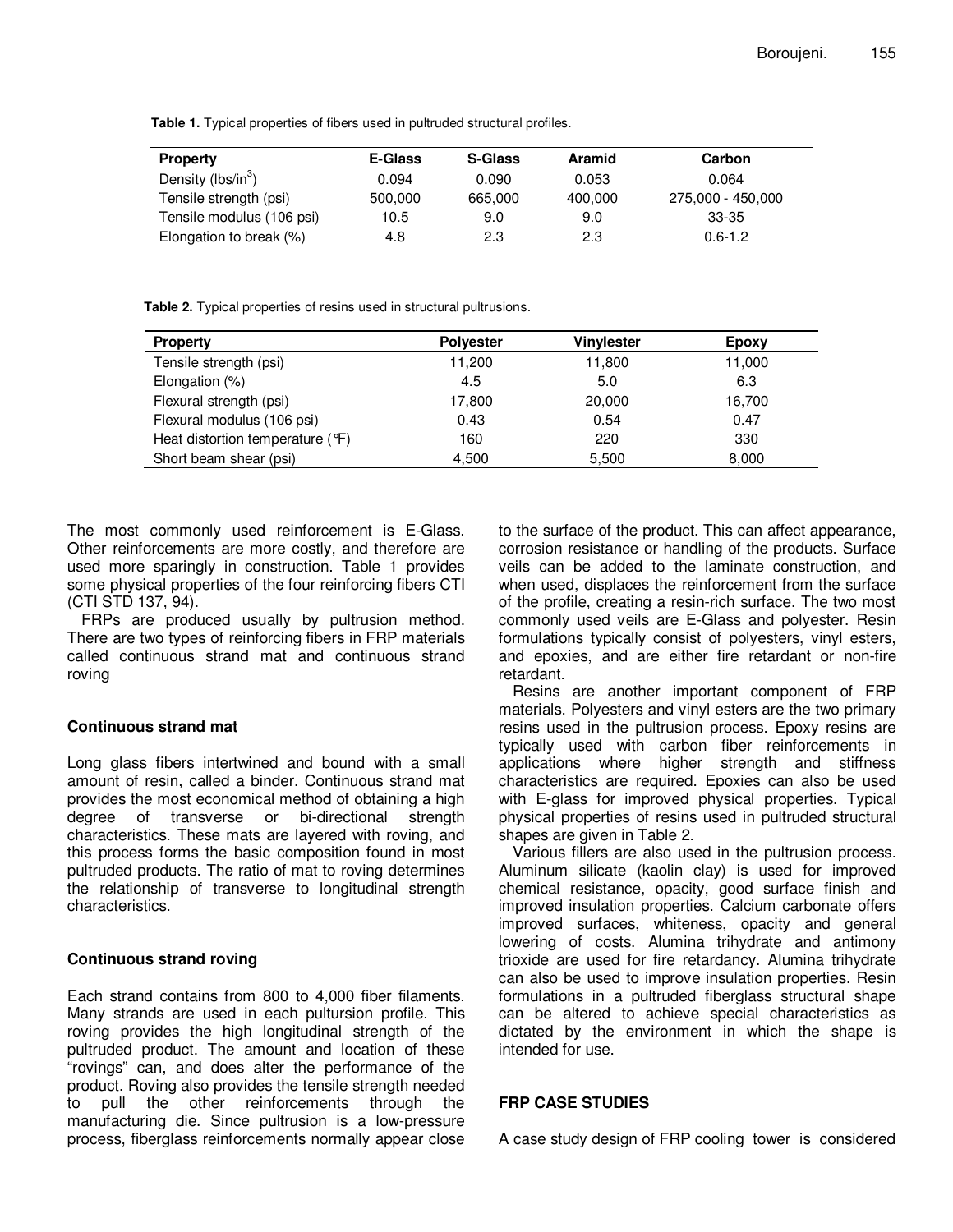**Table 1.** Typical properties of fibers used in pultruded structural profiles.

| <b>Property</b>                | E-Glass | <b>S-Glass</b> | Aramid  | Carbon            |
|--------------------------------|---------|----------------|---------|-------------------|
| Density (lbs/in <sup>3</sup> ) | 0.094   | 0.090          | 0.053   | 0.064             |
| Tensile strength (psi)         | 500,000 | 665,000        | 400,000 | 275,000 - 450,000 |
| Tensile modulus (106 psi)      | 10.5    | 9.0            | 9.0     | 33-35             |
| Elongation to break (%)        | 4.8     | 2.3            | 2.3     | $0.6 - 1.2$       |

**Table 2.** Typical properties of resins used in structural pultrusions.

| <b>Property</b>                  | <b>Polyester</b> | Vinylester | Epoxy  |
|----------------------------------|------------------|------------|--------|
| Tensile strength (psi)           | 11,200           | 11,800     | 11,000 |
| Elongation (%)                   | 4.5              | 5.0        | 6.3    |
| Flexural strength (psi)          | 17,800           | 20,000     | 16,700 |
| Flexural modulus (106 psi)       | 0.43             | 0.54       | 0.47   |
| Heat distortion temperature (°F) | 160              | 220        | 330    |
| Short beam shear (psi)           | 4,500            | 5,500      | 8,000  |

The most commonly used reinforcement is E-Glass. Other reinforcements are more costly, and therefore are used more sparingly in construction. Table 1 provides some physical properties of the four reinforcing fibers CTI (CTI STD 137, 94).

FRPs are produced usually by pultrusion method. There are two types of reinforcing fibers in FRP materials called continuous strand mat and continuous strand roving

#### **Continuous strand mat**

Long glass fibers intertwined and bound with a small amount of resin, called a binder. Continuous strand mat provides the most economical method of obtaining a high degree of transverse or bi-directional strength characteristics. These mats are layered with roving, and this process forms the basic composition found in most pultruded products. The ratio of mat to roving determines the relationship of transverse to longitudinal strength characteristics.

## **Continuous strand roving**

Each strand contains from 800 to 4,000 fiber filaments. Many strands are used in each pultursion profile. This roving provides the high longitudinal strength of the pultruded product. The amount and location of these "rovings" can, and does alter the performance of the product. Roving also provides the tensile strength needed to pull the other reinforcements through the manufacturing die. Since pultrusion is a low-pressure process, fiberglass reinforcements normally appear close to the surface of the product. This can affect appearance, corrosion resistance or handling of the products. Surface veils can be added to the laminate construction, and when used, displaces the reinforcement from the surface of the profile, creating a resin-rich surface. The two most commonly used veils are E-Glass and polyester. Resin formulations typically consist of polyesters, vinyl esters, and epoxies, and are either fire retardant or non-fire retardant.

Resins are another important component of FRP materials. Polyesters and vinyl esters are the two primary resins used in the pultrusion process. Epoxy resins are typically used with carbon fiber reinforcements in applications where higher strength and stiffness characteristics are required. Epoxies can also be used with E-glass for improved physical properties. Typical physical properties of resins used in pultruded structural shapes are given in Table 2.

Various fillers are also used in the pultrusion process. Aluminum silicate (kaolin clay) is used for improved chemical resistance, opacity, good surface finish and improved insulation properties. Calcium carbonate offers improved surfaces, whiteness, opacity and general lowering of costs. Alumina trihydrate and antimony trioxide are used for fire retardancy. Alumina trihydrate can also be used to improve insulation properties. Resin formulations in a pultruded fiberglass structural shape can be altered to achieve special characteristics as dictated by the environment in which the shape is intended for use.

## **FRP CASE STUDIES**

A case study design of FRP cooling tower is considered